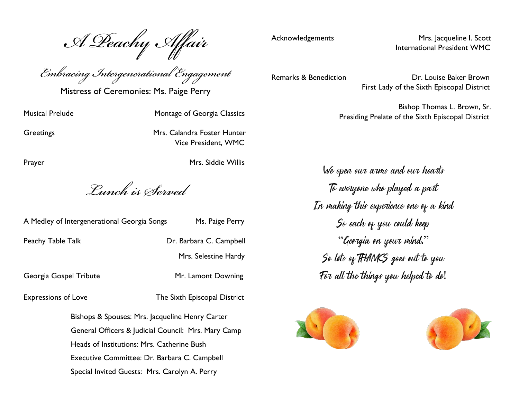*A Peachy Affair*

*Embracing Intergenerational Engagement*

Mistress of Ceremonies: Ms. Paige Perry

Musical Prelude Montage of Georgia Classics

Greetings **Greetings** Mrs. Calandra Foster Hunter Vice President, WMC

Prayer Mrs. Siddie Willis

*Lunch is Served*

| A Medley of Intergenerational Georgia Songs | Ms. Paige Perry         |
|---------------------------------------------|-------------------------|
| Peachy Table Talk                           | Dr. Barbara C. Campbell |
|                                             | Mrs. Selestine Hardy    |
|                                             |                         |

Georgia Gospel Tribute Mr. Lamont Downing

Expressions of Love The Sixth Episcopal District

Bishops & Spouses: Mrs. Jacqueline Henry Carter General Officers & Judicial Council: Mrs. Mary Camp Heads of Institutions: Mrs. Catherine Bush Executive Committee: Dr. Barbara C. Campbell Special Invited Guests: Mrs. Carolyn A. Perry

Acknowledgements Mrs. Jacqueline I. Scott

Remarks & Benediction **Dr. Louise Baker Brown** First Lady of the Sixth Episcopal District

International President WMC

 Bishop Thomas L. Brown, Sr. Presiding Prelate of the Sixth Episcopal District

We open our arms and our hearts To everyone who played a part In making this experience one of a kind So each of you could keep "Georgia on your mind." So lots of THANKS goes out to you For all the things you helped to do!